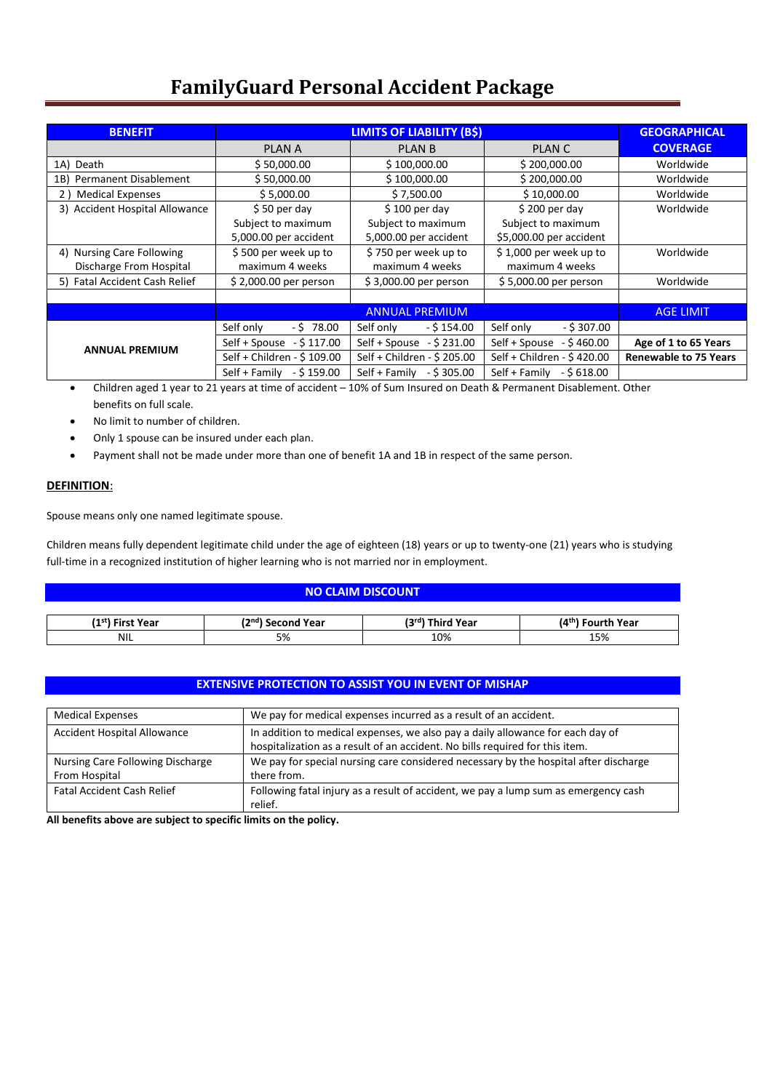| <b>BENEFIT</b>                 | <b>LIMITS OF LIABILITY (BS)</b>                            |                             |                              | <b>GEOGRAPHICAL</b>          |
|--------------------------------|------------------------------------------------------------|-----------------------------|------------------------------|------------------------------|
|                                | <b>PLAN A</b>                                              | <b>PLAN B</b>               | PLAN C                       | <b>COVERAGE</b>              |
| 1A) Death                      | \$50,000.00                                                | \$100,000.00                | \$200,000.00                 | Worldwide                    |
| 1B) Permanent Disablement      | \$50,000.00                                                | \$100,000.00                | \$200,000.00                 | Worldwide                    |
| 2) Medical Expenses            | \$5,000.00                                                 | \$7,500.00                  | \$10,000.00                  | Worldwide                    |
| 3) Accident Hospital Allowance | $$50$ per day                                              | $$100$ per day              | $$200$ per day               | Worldwide                    |
|                                | Subject to maximum                                         | Subject to maximum          | Subject to maximum           |                              |
|                                | 5,000.00 per accident                                      | 5,000.00 per accident       | \$5,000.00 per accident      |                              |
| 4) Nursing Care Following      | \$500 per week up to                                       | \$750 per week up to        | \$1,000 per week up to       | Worldwide                    |
| Discharge From Hospital        | maximum 4 weeks                                            | maximum 4 weeks             | maximum 4 weeks              |                              |
| 5) Fatal Accident Cash Relief  | \$2,000.00 per person                                      | \$3,000.00 per person       | \$5,000.00 per person        | Worldwide                    |
|                                |                                                            |                             |                              |                              |
|                                | <b>ANNUAL PREMIUM</b>                                      |                             |                              | <b>AGE LIMIT</b>             |
|                                | Self only<br>$-5$ 78.00                                    | Self only<br>$-$ \$ 154.00  | Self only<br>$-$ \$ 307.00   |                              |
|                                | Self + Spouse $-$ \$ 117.00                                | Self + Spouse $-$ \$ 231.00 | - \$ 460.00<br>Self + Spouse | Age of 1 to 65 Years         |
| <b>ANNUAL PREMIUM</b>          | Self + Children - \$ 109.00<br>Self + Children - \$ 205.00 |                             | Self + Children - \$420.00   | <b>Renewable to 75 Years</b> |
|                                | Self + Family - \$159.00                                   | Self + Family $-5305.00$    | Self + Family<br>$-5618.00$  |                              |

- Children aged 1 year to 21 years at time of accident 10% of Sum Insured on Death & Permanent Disablement. Other benefits on full scale.
- No limit to number of children.
- Only 1 spouse can be insured under each plan.
- Payment shall not be made under more than one of benefit 1A and 1B in respect of the same person.

## **DEFINITION**:

Spouse means only one named legitimate spouse.

Children means fully dependent legitimate child under the age of eighteen (18) years or up to twenty-one (21) years who is studying full-time in a recognized institution of higher learning who is not married nor in employment.

| <b>NO CLAIM DISCOUNT</b>                                                                                              |    |     |     |
|-----------------------------------------------------------------------------------------------------------------------|----|-----|-----|
| (4 <sup>th</sup> ) Fourth Year<br>(2 <sup>nd</sup> ) Second Year<br>(3rd) Third Year<br>(1 <sup>st</sup> ) First Year |    |     |     |
| <b>NIL</b>                                                                                                            | 5% | 10% | 15% |

### **EXTENSIVE PROTECTION TO ASSIST YOU IN EVENT OF MISHAP**

| <b>Medical Expenses</b>                           | We pay for medical expenses incurred as a result of an accident.                                                                                               |
|---------------------------------------------------|----------------------------------------------------------------------------------------------------------------------------------------------------------------|
| Accident Hospital Allowance                       | In addition to medical expenses, we also pay a daily allowance for each day of<br>hospitalization as a result of an accident. No bills required for this item. |
| Nursing Care Following Discharge<br>From Hospital | We pay for special nursing care considered necessary by the hospital after discharge<br>there from.                                                            |
| <b>Fatal Accident Cash Relief</b>                 | Following fatal injury as a result of accident, we pay a lump sum as emergency cash<br>relief.                                                                 |

**All benefits above are subject to specific limits on the policy.**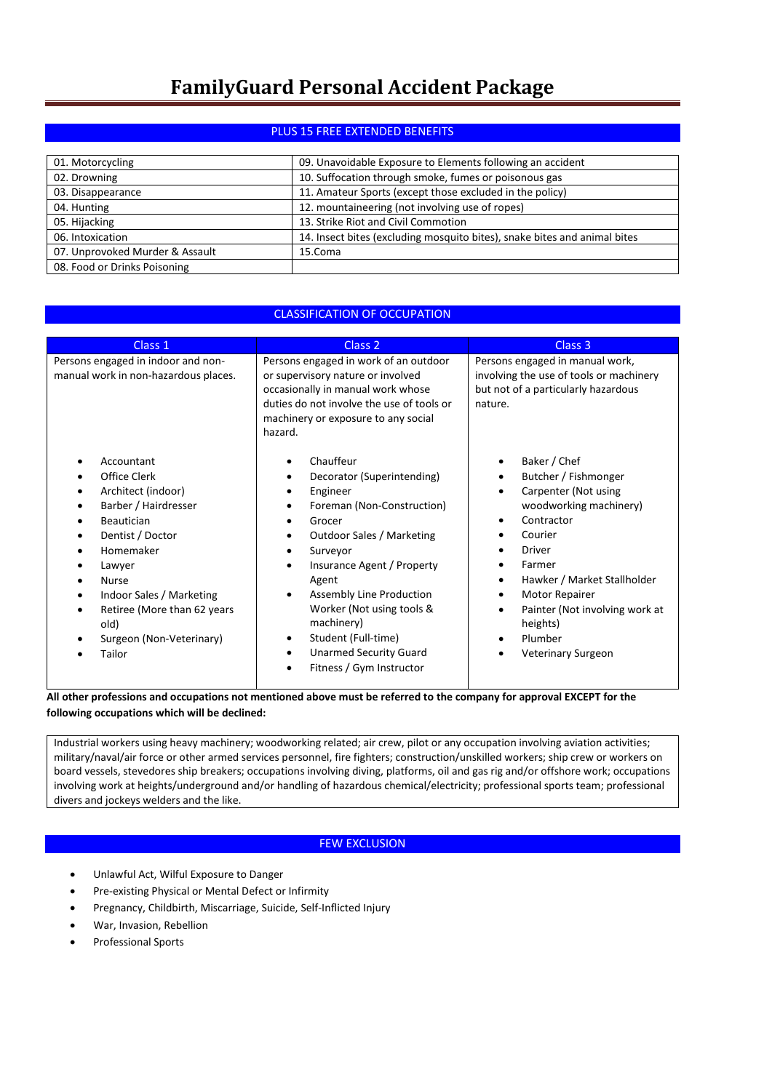## PLUS 15 FREE EXTENDED BENEFITS

| 01. Motorcycling                | 09. Unavoidable Exposure to Elements following an accident                |
|---------------------------------|---------------------------------------------------------------------------|
| 02. Drowning                    | 10. Suffocation through smoke, fumes or poisonous gas                     |
| 03. Disappearance               | 11. Amateur Sports (except those excluded in the policy)                  |
| 04. Hunting                     | 12. mountaineering (not involving use of ropes)                           |
| 05. Hijacking                   | 13. Strike Riot and Civil Commotion                                       |
| 06. Intoxication                | 14. Insect bites (excluding mosquito bites), snake bites and animal bites |
| 07. Unprovoked Murder & Assault | 15.Coma                                                                   |
| 08. Food or Drinks Poisoning    |                                                                           |

## CLASSIFICATION OF OCCUPATION

| Class 1                                                                                                                                                                                                                                                           | Class <sub>2</sub>                                                                                                                                                                                                                                                                                                                     | Class <sub>3</sub>                                                                                                                                                                                                                                                                                  |  |  |
|-------------------------------------------------------------------------------------------------------------------------------------------------------------------------------------------------------------------------------------------------------------------|----------------------------------------------------------------------------------------------------------------------------------------------------------------------------------------------------------------------------------------------------------------------------------------------------------------------------------------|-----------------------------------------------------------------------------------------------------------------------------------------------------------------------------------------------------------------------------------------------------------------------------------------------------|--|--|
| Persons engaged in indoor and non-<br>manual work in non-hazardous places.                                                                                                                                                                                        | Persons engaged in work of an outdoor<br>or supervisory nature or involved<br>occasionally in manual work whose<br>duties do not involve the use of tools or<br>machinery or exposure to any social<br>hazard.                                                                                                                         | Persons engaged in manual work,<br>involving the use of tools or machinery<br>but not of a particularly hazardous<br>nature.                                                                                                                                                                        |  |  |
| Accountant<br>Office Clerk<br>Architect (indoor)<br>Barber / Hairdresser<br><b>Beautician</b><br>Dentist / Doctor<br>Homemaker<br>Lawyer<br><b>Nurse</b><br>Indoor Sales / Marketing<br>Retiree (More than 62 years<br>old)<br>Surgeon (Non-Veterinary)<br>Tailor | Chauffeur<br>Decorator (Superintending)<br>Engineer<br>Foreman (Non-Construction)<br>Grocer<br>Outdoor Sales / Marketing<br>Surveyor<br>Insurance Agent / Property<br>Agent<br>Assembly Line Production<br>Worker (Not using tools &<br>machinery)<br>Student (Full-time)<br><b>Unarmed Security Guard</b><br>Fitness / Gym Instructor | Baker / Chef<br>Butcher / Fishmonger<br>Carpenter (Not using<br>$\bullet$<br>woodworking machinery)<br>Contractor<br>Courier<br><b>Driver</b><br>Farmer<br>Hawker / Market Stallholder<br>Motor Repairer<br>Painter (Not involving work at<br>٠<br>heights)<br>Plumber<br><b>Veterinary Surgeon</b> |  |  |

**All other professions and occupations not mentioned above must be referred to the company for approval EXCEPT for the following occupations which will be declined:**

Industrial workers using heavy machinery; woodworking related; air crew, pilot or any occupation involving aviation activities; military/naval/air force or other armed services personnel, fire fighters; construction/unskilled workers; ship crew or workers on board vessels, stevedores ship breakers; occupations involving diving, platforms, oil and gas rig and/or offshore work; occupations involving work at heights/underground and/or handling of hazardous chemical/electricity; professional sports team; professional divers and jockeys welders and the like.

### FEW EXCLUSION

- Unlawful Act, Wilful Exposure to Danger
- Pre-existing Physical or Mental Defect or Infirmity
- Pregnancy, Childbirth, Miscarriage, Suicide, Self-Inflicted Injury
- War, Invasion, Rebellion
- Professional Sports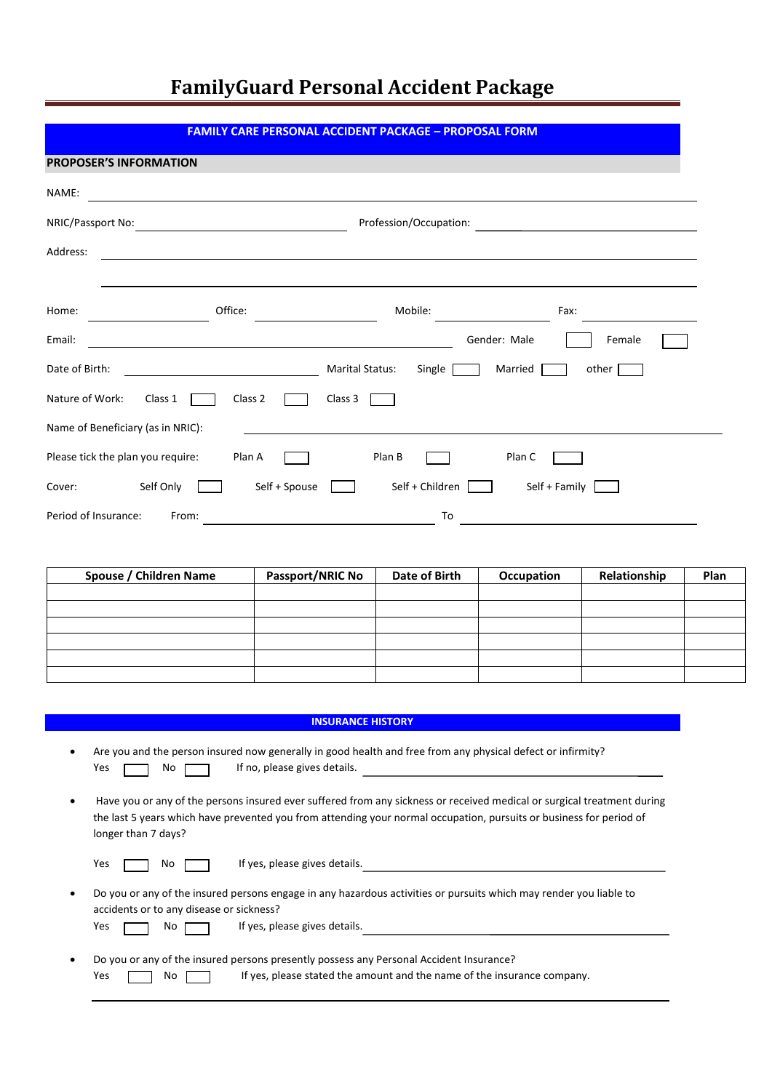### **FAMILY CARE PERSONAL ACCIDENT PACKAGE – PROPOSAL FORM**

| <b>PROPOSER'S INFORMATION</b>                                                 |
|-------------------------------------------------------------------------------|
| NAME:                                                                         |
| NRIC/Passport No:<br>Profession/Occupation:                                   |
| Address:                                                                      |
|                                                                               |
| Office:<br>Mobile:<br>Home:<br>Fax:                                           |
| Gender: Male<br>Female<br>Email:                                              |
| Date of Birth:<br><b>Marital Status:</b><br>other $\Box$<br>Single<br>Married |
| Nature of Work:<br>Class 1<br>Class 2<br>Class 3                              |
| Name of Beneficiary (as in NRIC):                                             |
| Please tick the plan you require:<br>Plan B<br>Plan A<br>Plan C               |
| Self Only<br>Self + Spouse<br>Self + Children<br>Self + Family<br>Cover:      |
| Period of Insurance:<br>To<br>From:                                           |

| Spouse / Children Name | <b>Passport/NRIC No</b> | Date of Birth | Occupation | Relationship | Plan |
|------------------------|-------------------------|---------------|------------|--------------|------|
|                        |                         |               |            |              |      |
|                        |                         |               |            |              |      |
|                        |                         |               |            |              |      |
|                        |                         |               |            |              |      |
|                        |                         |               |            |              |      |
|                        |                         |               |            |              |      |

#### **INSURANCE HISTORY**

- Are you and the person insured now generally in good health and free from any physical defect or infirmity? Yes  $\Box$  No  $\Box$  If no, please gives details.
- Have you or any of the persons insured ever suffered from any sickness or received medical or surgical treatment during the last 5 years which have prevented you from attending your normal occupation, pursuits or business for period of longer than 7 days?

Yes  $\Box$  No  $\Box$  If yes, please gives details.

• Do you or any of the insured persons engage in any hazardous activities or pursuits which may render you liable to accidents or to any disease or sickness?

- $\Box$  No  $\Box$  If yes, please gives details.
- Do you or any of the insured persons presently possess any Personal Accident Insurance? Yes  $\Box$  No  $\Box$  If yes, please stated the amount and the name of the insurance company.